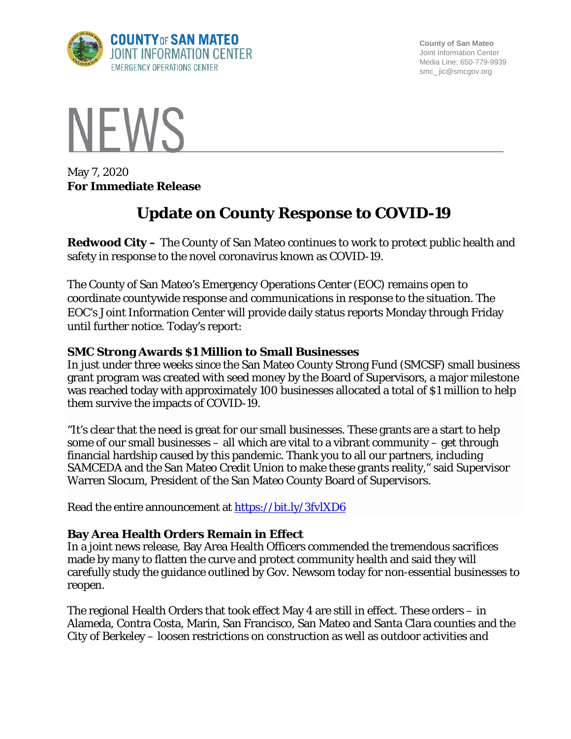

**County of San Mateo** Joint Information Center Media Line: 650-779-9939 smc\_ jic@smcgov.org



May 7, 2020 **For Immediate Release**

# **Update on County Response to COVID-19**

**Redwood City –** The County of San Mateo continues to work to protect public health and safety in response to the novel coronavirus known as COVID-19.

The County of San Mateo's Emergency Operations Center (EOC) remains open to coordinate countywide response and communications in response to the situation. The EOC's Joint Information Center will provide daily status reports Monday through Friday until further notice. Today's report:

#### **SMC Strong Awards \$1 Million to Small Businesses**

In just under three weeks since the San Mateo County Strong Fund (SMCSF) small business grant program was created with seed money by the Board of Supervisors, a major milestone was reached today with approximately 100 businesses allocated a total of \$1 million to help them survive the impacts of COVID-19.

"It's clear that the need is great for our small businesses. These grants are a start to help some of our small businesses – all which are vital to a vibrant community – get through financial hardship caused by this pandemic. Thank you to all our partners, including SAMCEDA and the San Mateo Credit Union to make these grants reality," said Supervisor Warren Slocum, President of the San Mateo County Board of Supervisors.

Read the entire announcement at<https://bit.ly/3fvlXD6>

#### **Bay Area Health Orders Remain in Effect**

In a joint news release, Bay Area Health Officers commended the tremendous sacrifices made by many to flatten the curve and protect community health and said they will carefully study the guidance outlined by Gov. Newsom today for non-essential businesses to reopen.

The regional Health Orders that took effect May 4 are still in effect. These orders – in Alameda, Contra Costa, Marin, San Francisco, San Mateo and Santa Clara counties and the City of Berkeley – loosen restrictions on construction as well as outdoor activities and